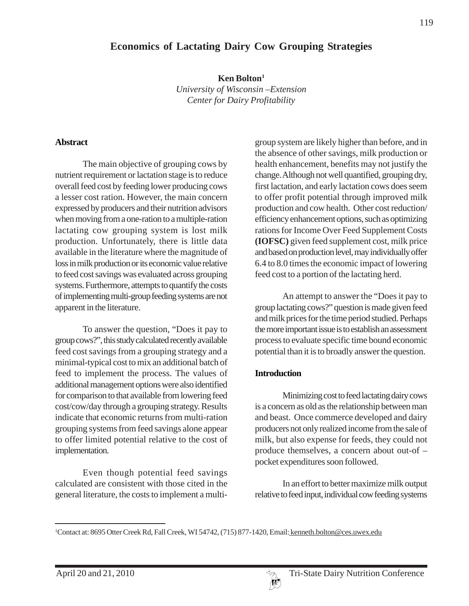# **Economics of Lactating Dairy Cow Grouping Strategies**

**Ken Bolton1** *University of Wisconsin –Extension Center for Dairy Profitability*

#### **Abstract**

The main objective of grouping cows by nutrient requirement or lactation stage is to reduce overall feed cost by feeding lower producing cows a lesser cost ration. However, the main concern expressed by producers and their nutrition advisors when moving from a one-ration to a multiple-ration lactating cow grouping system is lost milk production. Unfortunately, there is little data available in the literature where the magnitude of loss in milk production or its economic value relative to feed cost savings was evaluated across grouping systems. Furthermore, attempts to quantify the costs of implementing multi-group feeding systems are not apparent in the literature.

To answer the question, "Does it pay to group cows?", this study calculated recently available feed cost savings from a grouping strategy and a minimal-typical cost to mix an additional batch of feed to implement the process. The values of additional management options were also identified for comparison to that available from lowering feed cost/cow/day through a grouping strategy. Results indicate that economic returns from multi-ration grouping systems from feed savings alone appear to offer limited potential relative to the cost of implementation.

Even though potential feed savings calculated are consistent with those cited in the general literature, the costs to implement a multigroup system are likely higher than before, and in the absence of other savings, milk production or health enhancement, benefits may not justify the change. Although not well quantified, grouping dry, first lactation, and early lactation cows does seem to offer profit potential through improved milk production and cow health. Other cost reduction/ efficiency enhancement options, such as optimizing rations for Income Over Feed Supplement Costs **(IOFSC)** given feed supplement cost, milk price and based on production level, may individually offer 6.4 to 8.0 times the economic impact of lowering feed cost to a portion of the lactating herd.

An attempt to answer the "Does it pay to group lactating cows?" question is made given feed and milk prices for the time period studied. Perhaps the more important issue is to establish an assessment process to evaluate specific time bound economic potential than it is to broadly answer the question.

### **Introduction**

Minimizing cost to feed lactating dairy cows is a concern as old as the relationship between man and beast. Once commerce developed and dairy producers not only realized income from the sale of milk, but also expense for feeds, they could not produce themselves, a concern about out-of – pocket expenditures soon followed.

In an effort to better maximize milk output relative to feed input, individual cow feeding systems



<sup>&</sup>lt;sup>1</sup>Contact at: 8695 Otter Creek Rd, Fall Creek, WI 54742, (715) 877-1420, Email: kenneth.bolton@ces.uwex.edu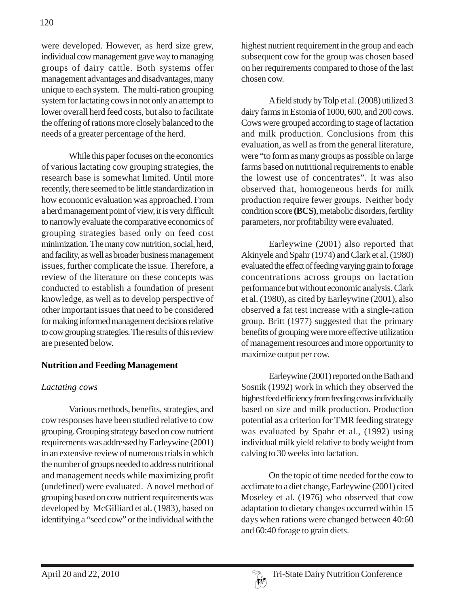were developed. However, as herd size grew, individual cow management gave way to managing groups of dairy cattle. Both systems offer management advantages and disadvantages, many unique to each system. The multi-ration grouping system for lactating cows in not only an attempt to lower overall herd feed costs, but also to facilitate the offering of rations more closely balanced to the needs of a greater percentage of the herd.

While this paper focuses on the economics of various lactating cow grouping strategies, the research base is somewhat limited. Until more recently, there seemed to be little standardization in how economic evaluation was approached. From a herd management point of view, it is very difficult to narrowly evaluate the comparative economics of grouping strategies based only on feed cost minimization. The many cow nutrition, social, herd, and facility, as well as broader business management issues, further complicate the issue. Therefore, a review of the literature on these concepts was conducted to establish a foundation of present knowledge, as well as to develop perspective of other important issues that need to be considered for making informed management decisions relative to cow grouping strategies. The results of this review are presented below.

## **Nutrition and Feeding Management**

# *Lactating cows*

Various methods, benefits, strategies, and cow responses have been studied relative to cow grouping. Grouping strategy based on cow nutrient requirements was addressed by Earleywine (2001) in an extensive review of numerous trials in which the number of groups needed to address nutritional and management needs while maximizing profit (undefined) were evaluated. A novel method of grouping based on cow nutrient requirements was developed by McGilliard et al. (1983), based on identifying a "seed cow" or the individual with the

highest nutrient requirement in the group and each subsequent cow for the group was chosen based on her requirements compared to those of the last chosen cow.

A field study by Tolp et al. (2008) utilized 3 dairy farms in Estonia of 1000, 600, and 200 cows. Cows were grouped according to stage of lactation and milk production. Conclusions from this evaluation, as well as from the general literature, were "to form as many groups as possible on large farms based on nutritional requirements to enable the lowest use of concentrates". It was also observed that, homogeneous herds for milk production require fewer groups. Neither body condition score **(BCS)**, metabolic disorders, fertility parameters, nor profitability were evaluated.

Earleywine (2001) also reported that Akinyele and Spahr (1974) and Clark et al. (1980) evaluated the effect of feeding varying grain to forage concentrations across groups on lactation performance but without economic analysis. Clark et al. (1980), as cited by Earleywine (2001), also observed a fat test increase with a single-ration group. Britt (1977) suggested that the primary benefits of grouping were more effective utilization of management resources and more opportunity to maximize output per cow.

Earleywine (2001) reported on the Bath and Sosnik (1992) work in which they observed the highest feed efficiency from feeding cows individually based on size and milk production. Production potential as a criterion for TMR feeding strategy was evaluated by Spahr et al., (1992) using individual milk yield relative to body weight from calving to 30 weeks into lactation.

On the topic of time needed for the cow to acclimate to a diet change, Earleywine (2001) cited Moseley et al. (1976) who observed that cow adaptation to dietary changes occurred within 15 days when rations were changed between 40:60 and 60:40 forage to grain diets.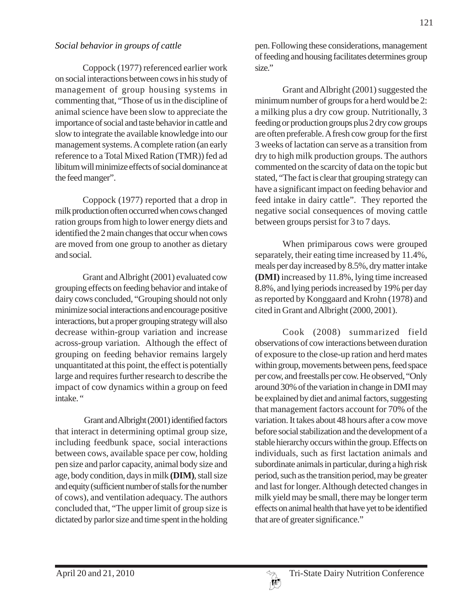### *Social behavior in groups of cattle*

Coppock (1977) referenced earlier work on social interactions between cows in his study of management of group housing systems in commenting that, "Those of us in the discipline of animal science have been slow to appreciate the importance of social and taste behavior in cattle and slow to integrate the available knowledge into our management systems. A complete ration (an early reference to a Total Mixed Ration (TMR)) fed ad libitum will minimize effects of social dominance at the feed manger".

Coppock (1977) reported that a drop in milk production often occurred when cows changed ration groups from high to lower energy diets and identified the 2 main changes that occur when cows are moved from one group to another as dietary and social.

Grant and Albright (2001) evaluated cow grouping effects on feeding behavior and intake of dairy cows concluded, "Grouping should not only minimize social interactions and encourage positive interactions, but a proper grouping strategy will also decrease within-group variation and increase across-group variation.Although the effect of grouping on feeding behavior remains largely unquantitated at this point, the effect is potentially large and requires further research to describe the impact of cow dynamics within a group on feed intake."

Grant and Albright (2001) identified factors that interact in determining optimal group size, including feedbunk space, social interactions between cows, available space per cow, holding pen size and parlor capacity, animal body size and age, body condition, days in milk **(DIM)**, stall size and equity (sufficient number of stalls for the number of cows), and ventilation adequacy. The authors concluded that, "The upper limit of group size is dictated by parlor size and time spent in the holding

pen. Following these considerations, management of feeding and housing facilitates determines group size."

Grant and Albright (2001) suggested the minimum number of groups for a herd would be 2: a milking plus a dry cow group. Nutritionally, 3 feeding or production groups plus 2 dry cow groups are often preferable. A fresh cow group for the first 3 weeks of lactation can serve as a transition from dry to high milk production groups. The authors commented on the scarcity of data on the topic but stated, "The fact is clear that grouping strategy can have a significant impact on feeding behavior and feed intake in dairy cattle". They reported the negative social consequences of moving cattle between groups persist for 3 to 7 days.

When primiparous cows were grouped separately, their eating time increased by 11.4%, meals per day increased by 8.5%, dry matter intake **(DMI)** increased by 11.8%, lying time increased 8.8%, and lying periods increased by 19% per day as reported by Konggaard and Krohn (1978) and cited in Grant and Albright (2000, 2001).

Cook (2008) summarized field observations of cow interactions between duration of exposure to the close-up ration and herd mates within group, movements between pens, feed space per cow, and freestalls per cow. He observed, "Only around 30% of the variation in change in DMI may be explained by diet and animal factors, suggesting that management factors account for 70% of the variation. It takes about 48 hours after a cow move before social stabilization and the development of a stable hierarchy occurs within the group. Effects on individuals, such as first lactation animals and subordinate animals in particular, during a high risk period, such as the transition period, may be greater and last for longer. Although detected changes in milk yield may be small, there may be longer term effects on animal health that have yet to be identified that are of greater significance."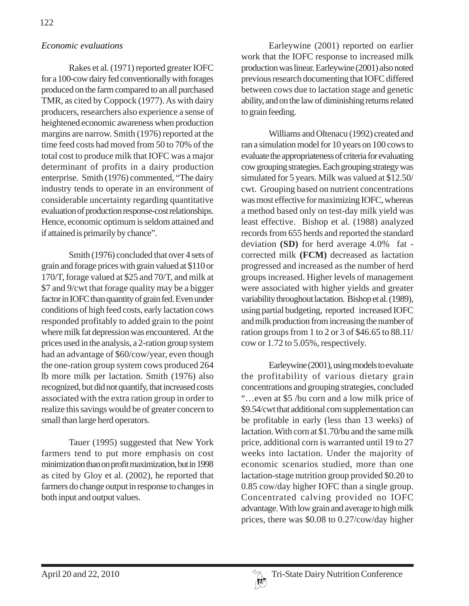### *Economic evaluations*

Rakes et al. (1971) reported greater IOFC for a 100-cow dairy fed conventionally with forages produced on the farm compared to an all purchased TMR, as cited by Coppock (1977). As with dairy producers, researchers also experience a sense of heightened economic awareness when production margins are narrow. Smith (1976) reported at the time feed costs had moved from 50 to 70% of the total cost to produce milk that IOFC was a major determinant of profits in a dairy production enterprise. Smith (1976) commented, "The dairy industry tends to operate in an environment of considerable uncertainty regarding quantitative evaluation of production response-cost relationships. Hence, economic optimum is seldom attained and if attained is primarily by chance".

Smith (1976) concluded that over 4 sets of grain and forage prices with grain valued at \$110 or 170/T, forage valued at \$25 and 70/T, and milk at \$7 and 9/cwt that forage quality may be a bigger factor in IOFC than quantity of grain fed. Even under conditions of high feed costs, early lactation cows responded profitably to added grain to the point where milk fat depression was encountered. At the prices used in the analysis, a 2-ration group system had an advantage of \$60/cow/year, even though the one-ration group system cows produced 264 lb more milk per lactation. Smith (1976) also recognized, but did not quantify, that increased costs associated with the extra ration group in order to realize this savings would be of greater concern to small than large herd operators.

Tauer (1995) suggested that New York farmers tend to put more emphasis on cost minimization than on profit maximization, but in 1998 as cited by Gloy et al. (2002), he reported that farmers do change output in response to changes in both input and output values.

Earleywine (2001) reported on earlier work that the IOFC response to increased milk production was linear. Earleywine (2001) also noted previous research documenting that IOFC differed between cows due to lactation stage and genetic ability, and on the law of diminishing returns related to grain feeding.

Williams and Oltenacu (1992) created and ran a simulation model for 10 years on 100 cows to evaluate the appropriateness of criteria for evaluating cow grouping strategies. Each grouping strategy was simulated for 5 years. Milk was valued at \$12.50/ cwt. Grouping based on nutrient concentrations was most effective for maximizing IOFC, whereas a method based only on test-day milk yield was least effective. Bishop et al. (1988) analyzed records from 655 herds and reported the standard deviation **(SD)** for herd average 4.0% fat corrected milk **(FCM)** decreased as lactation progressed and increased as the number of herd groups increased. Higher levels of management were associated with higher yields and greater variability throughout lactation. Bishop et al. (1989), using partial budgeting, reported increased IOFC and milk production from increasing the number of ration groups from 1 to 2 or 3 of \$46.65 to 88.11/ cow or 1.72 to 5.05%, respectively.

Earleywine (2001), using models to evaluate the profitability of various dietary grain concentrations and grouping strategies, concluded "…even at \$5 /bu corn and a low milk price of \$9.54/cwt that additional corn supplementation can be profitable in early (less than 13 weeks) of lactation. With corn at \$1.70/bu and the same milk price, additional corn is warranted until 19 to 27 weeks into lactation. Under the majority of economic scenarios studied, more than one lactation-stage nutrition group provided \$0.20 to 0.85 cow/day higher IOFC than a single group. Concentrated calving provided no IOFC advantage. With low grain and average to high milk prices, there was \$0.08 to 0.27/cow/day higher

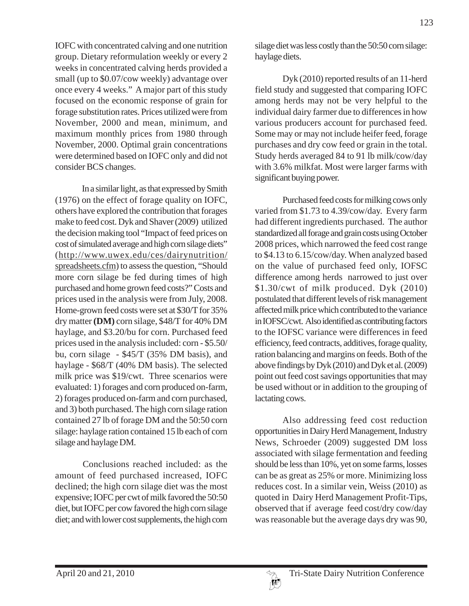IOFC with concentrated calving and one nutrition group. Dietary reformulation weekly or every 2 weeks in concentrated calving herds provided a small (up to \$0.07/cow weekly) advantage over once every 4 weeks." A major part of this study focused on the economic response of grain for forage substitution rates. Prices utilized were from November, 2000 and mean, minimum, and maximum monthly prices from 1980 through November, 2000. Optimal grain concentrations were determined based on IOFC only and did not consider BCS changes.

In a similar light, as that expressed by Smith (1976) on the effect of forage quality on IOFC, others have explored the contribution that forages make to feed cost. Dyk and Shaver (2009) utilized the decision making tool "Impact of feed prices on cost of simulated average and high corn silage diets" (http://www.uwex.edu/ces/dairynutrition/ spreadsheets.cfm) to assess the question, "Should more corn silage be fed during times of high purchased and home grown feed costs?" Costs and prices used in the analysis were from July, 2008. Home-grown feed costs were set at \$30/T for 35% dry matter **(DM)** corn silage, \$48/T for 40% DM haylage, and \$3.20/bu for corn. Purchased feed prices used in the analysis included: corn - \$5.50/ bu, corn silage - \$45/T (35% DM basis), and haylage - \$68/T (40% DM basis). The selected milk price was \$19/cwt. Three scenarios were evaluated: 1) forages and corn produced on-farm, 2) forages produced on-farm and corn purchased, and 3) both purchased. The high corn silage ration contained 27 lb of forage DM and the 50:50 corn silage: haylage ration contained 15 lb each of corn silage and haylage DM.

Conclusions reached included: as the amount of feed purchased increased, IOFC declined; the high corn silage diet was the most expensive; IOFC per cwt of milk favored the 50:50 diet, but IOFC per cow favored the high corn silage diet; and with lower cost supplements, the high corn

silage diet was less costly than the 50:50 corn silage: haylage diets.

Dyk (2010) reported results of an 11-herd field study and suggested that comparing IOFC among herds may not be very helpful to the individual dairy farmer due to differences in how various producers account for purchased feed. Some may or may not include heifer feed, forage purchases and dry cow feed or grain in the total. Study herds averaged 84 to 91 lb milk/cow/day with 3.6% milkfat. Most were larger farms with significant buying power.

Purchased feed costs for milking cows only varied from \$1.73 to 4.39/cow/day. Every farm had different ingredients purchased. The author standardized all forage and grain costs using October 2008 prices, which narrowed the feed cost range to \$4.13 to 6.15/cow/day. When analyzed based on the value of purchased feed only, IOFSC difference among herds narrowed to just over \$1.30/cwt of milk produced. Dyk (2010) postulated that different levels of risk management affected milk price which contributed to the variance in IOFSC/cwt. Also identified as contributing factors to the IOFSC variance were differences in feed efficiency, feed contracts, additives, forage quality, ration balancing and margins on feeds. Both of the above findings by Dyk (2010) and Dyk et al. (2009) point out feed cost savings opportunities that may be used without or in addition to the grouping of lactating cows.

Also addressing feed cost reduction opportunities in Dairy Herd Management, Industry News, Schroeder (2009) suggested DM loss associated with silage fermentation and feeding should be less than 10%, yet on some farms, losses can be as great as 25% or more. Minimizing loss reduces cost. In a similar vein, Weiss (2010) as quoted in Dairy Herd Management Profit-Tips, observed that if average feed cost/dry cow/day was reasonable but the average days dry was 90,

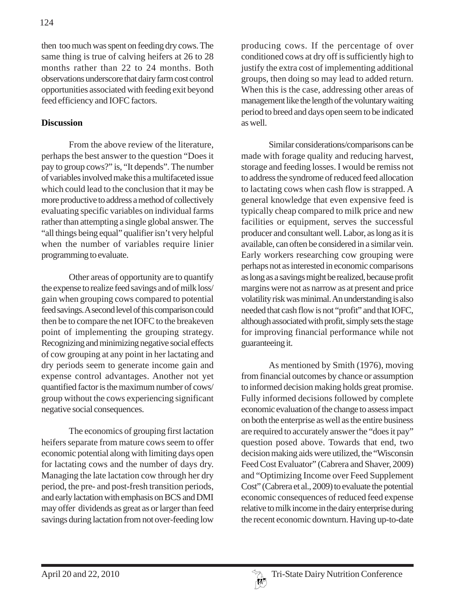then too much was spent on feeding dry cows. The same thing is true of calving heifers at 26 to 28 months rather than 22 to 24 months. Both observations underscore that dairy farm cost control opportunities associated with feeding exit beyond feed efficiency and IOFC factors.

# **Discussion**

From the above review of the literature, perhaps the best answer to the question "Does it pay to group cows?" is, "It depends". The number of variables involved make this a multifaceted issue which could lead to the conclusion that it may be more productive to address a method of collectively evaluating specific variables on individual farms rather than attempting a single global answer. The "all things being equal" qualifier isn't very helpful when the number of variables require linier programming to evaluate.

Other areas of opportunity are to quantify the expense to realize feed savings and of milk loss/ gain when grouping cows compared to potential feed savings. A second level of this comparison could then be to compare the net IOFC to the breakeven point of implementing the grouping strategy. Recognizing and minimizing negative social effects of cow grouping at any point in her lactating and dry periods seem to generate income gain and expense control advantages. Another not yet quantified factor is the maximum number of cows/ group without the cows experiencing significant negative social consequences.

The economics of grouping first lactation heifers separate from mature cows seem to offer economic potential along with limiting days open for lactating cows and the number of days dry. Managing the late lactation cow through her dry period, the pre- and post-fresh transition periods, and early lactation with emphasis on BCS and DMI may offer dividends as great as or larger than feed savings during lactation from not over-feeding low

producing cows. If the percentage of over conditioned cows at dry off is sufficiently high to justify the extra cost of implementing additional groups, then doing so may lead to added return. When this is the case, addressing other areas of management like the length of the voluntary waiting period to breed and days open seem to be indicated as well.

Similar considerations/comparisons can be made with forage quality and reducing harvest, storage and feeding losses. I would be remiss not to address the syndrome of reduced feed allocation to lactating cows when cash flow is strapped. A general knowledge that even expensive feed is typically cheap compared to milk price and new facilities or equipment, serves the successful producer and consultant well. Labor, as long as it is available, can often be considered in a similar vein. Early workers researching cow grouping were perhaps not as interested in economic comparisons as long as a savings might be realized, because profit margins were not as narrow as at present and price volatility risk was minimal. An understanding is also needed that cash flow is not "profit" and that IOFC, although associated with profit, simply sets the stage for improving financial performance while not guaranteeing it.

As mentioned by Smith (1976), moving from financial outcomes by chance or assumption to informed decision making holds great promise. Fully informed decisions followed by complete economic evaluation of the change to assess impact on both the enterprise as well as the entire business are required to accurately answer the "does it pay" question posed above. Towards that end, two decision making aids were utilized, the "Wisconsin Feed Cost Evaluator" (Cabrera and Shaver, 2009) and "Optimizing Income over Feed Supplement Cost" (Cabrera et al., 2009) to evaluate the potential economic consequences of reduced feed expense relative to milk income in the dairy enterprise during the recent economic downturn. Having up-to-date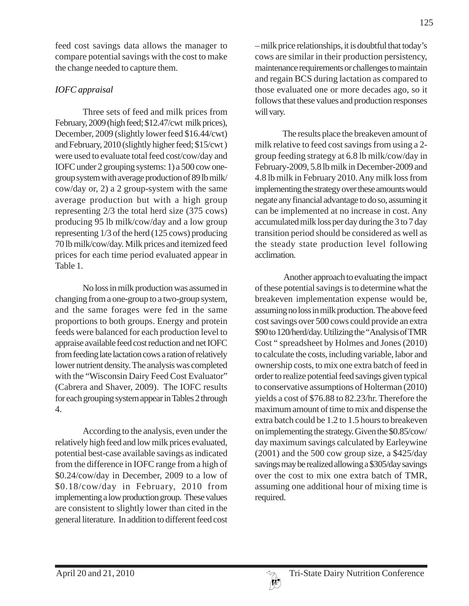feed cost savings data allows the manager to compare potential savings with the cost to make the change needed to capture them.

# *IOFC appraisal*

Three sets of feed and milk prices from February, 2009 (high feed; \$12.47/cwt milk prices), December, 2009 (slightly lower feed \$16.44/cwt) and February, 2010 (slightly higher feed; \$15/cwt ) were used to evaluate total feed cost/cow/day and IOFC under 2 grouping systems: 1) a 500 cow onegroup system with average production of 89 lb milk/ cow/day or, 2) a 2 group-system with the same average production but with a high group representing 2/3 the total herd size (375 cows) producing 95 lb milk/cow/day and a low group representing 1/3 of the herd (125 cows) producing 70 lb milk/cow/day. Milk prices and itemized feed prices for each time period evaluated appear in Table 1.

No loss in milk production was assumed in changing from a one-group to a two-group system, and the same forages were fed in the same proportions to both groups. Energy and protein feeds were balanced for each production level to appraise available feed cost reduction and net IOFC from feeding late lactation cows a ration of relatively lower nutrient density. The analysis was completed with the "Wisconsin Dairy Feed Cost Evaluator" (Cabrera and Shaver, 2009). The IOFC results for each grouping system appear in Tables 2 through 4.

According to the analysis, even under the relatively high feed and low milk prices evaluated, potential best-case available savings as indicated from the difference in IOFC range from a high of \$0.24/cow/day in December, 2009 to a low of \$0.18/cow/day in February, 2010 from implementing a low production group. These values are consistent to slightly lower than cited in the general literature. In addition to different feed cost

– milk price relationships, it is doubtful that today's cows are similar in their production persistency, maintenance requirements or challenges to maintain and regain BCS during lactation as compared to those evaluated one or more decades ago, so it follows that these values and production responses will vary.

The results place the breakeven amount of milk relative to feed cost savings from using a 2 group feeding strategy at 6.8 lb milk/cow/day in February-2009, 5.8 lb milk in December-2009 and 4.8 lb milk in February 2010. Any milk loss from implementing the strategy over these amounts would negate any financial advantage to do so, assuming it can be implemented at no increase in cost. Any accumulated milk loss per day during the 3 to 7 day transition period should be considered as well as the steady state production level following acclimation.

 Another approach to evaluating the impact of these potential savings is to determine what the breakeven implementation expense would be, assuming no loss in milk production. The above feed cost savings over 500 cows could provide an extra \$90 to 120/herd/day. Utilizing the "Analysis of TMR Cost " spreadsheet by Holmes and Jones (2010) to calculate the costs, including variable, labor and ownership costs, to mix one extra batch of feed in order to realize potential feed savings given typical to conservative assumptions of Holterman (2010) yields a cost of \$76.88 to 82.23/hr. Therefore the maximum amount of time to mix and dispense the extra batch could be 1.2 to 1.5 hours to breakeven on implementing the strategy. Given the \$0.85/cow/ day maximum savings calculated by Earleywine (2001) and the 500 cow group size, a \$425/day savings may be realized allowing a \$305/day savings over the cost to mix one extra batch of TMR, assuming one additional hour of mixing time is required.

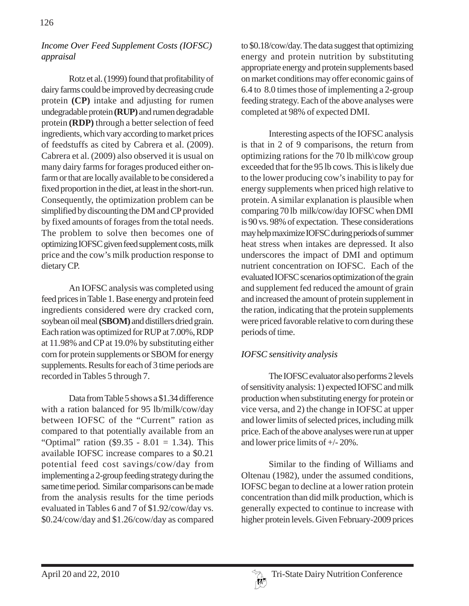## *Income Over Feed Supplement Costs (IOFSC) appraisal*

Rotz et al. (1999) found that profitability of dairy farms could be improved by decreasing crude protein **(CP)** intake and adjusting for rumen undegradable protein **(RUP)** and rumen degradable protein **(RDP)** through a better selection of feed ingredients, which vary according to market prices of feedstuffs as cited by Cabrera et al. (2009). Cabrera et al. (2009) also observed it is usual on many dairy farms for forages produced either onfarm or that are locally available to be considered a fixed proportion in the diet, at least in the short-run. Consequently, the optimization problem can be simplified by discounting the DM and CP provided by fixed amounts of forages from the total needs. The problem to solve then becomes one of optimizing IOFSC given feed supplement costs, milk price and the cow's milk production response to dietary CP.

An IOFSC analysis was completed using feed prices in Table 1. Base energy and protein feed ingredients considered were dry cracked corn, soybean oil meal **(SBOM)** and distillers dried grain. Each ration was optimized for RUP at 7.00%, RDP at 11.98% and CP at 19.0% by substituting either corn for protein supplements or SBOM for energy supplements. Results for each of 3 time periods are recorded in Tables 5 through 7.

Data from Table 5 shows a \$1.34 difference with a ration balanced for 95 lb/milk/cow/day between IOFSC of the "Current" ration as compared to that potentially available from an "Optimal" ration (\$9.35 - 8.01 = 1.34). This available IOFSC increase compares to a \$0.21 potential feed cost savings/cow/day from implementing a 2-group feeding strategy during the same time period. Similar comparisons can be made from the analysis results for the time periods evaluated in Tables 6 and 7 of \$1.92/cow/day vs. \$0.24/cow/day and \$1.26/cow/day as compared

to \$0.18/cow/day. The data suggest that optimizing energy and protein nutrition by substituting appropriate energy and protein supplements based on market conditions may offer economic gains of 6.4 to 8.0 times those of implementing a 2-group feeding strategy. Each of the above analyses were completed at 98% of expected DMI.

Interesting aspects of the IOFSC analysis is that in 2 of 9 comparisons, the return from optimizing rations for the 70 lb milk\cow group exceeded that for the 95 lb cows. This is likely due to the lower producing cow's inability to pay for energy supplements when priced high relative to protein. A similar explanation is plausible when comparing 70 lb milk/cow/day IOFSC when DMI is 90 vs. 98% of expectation. These considerations may help maximize IOFSC during periods of summer heat stress when intakes are depressed. It also underscores the impact of DMI and optimum nutrient concentration on IOFSC. Each of the evaluated IOFSC scenarios optimization of the grain and supplement fed reduced the amount of grain and increased the amount of protein supplement in the ration, indicating that the protein supplements were priced favorable relative to corn during these periods of time.

# *IOFSC sensitivity analysis*

The IOFSC evaluator also performs 2 levels of sensitivity analysis: 1) expected IOFSC and milk production when substituting energy for protein or vice versa, and 2) the change in IOFSC at upper and lower limits of selected prices, including milk price. Each of the above analyses were run at upper and lower price limits of +/- 20%.

Similar to the finding of Williams and Oltenau (1982), under the assumed conditions, IOFSC began to decline at a lower ration protein concentration than did milk production, which is generally expected to continue to increase with higher protein levels. Given February-2009 prices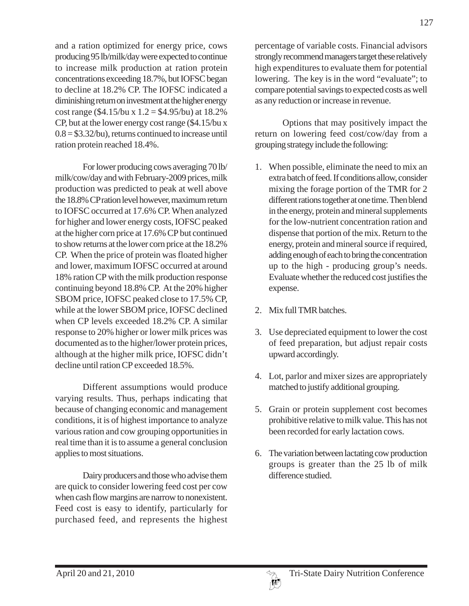and a ration optimized for energy price, cows producing 95 lb/milk/day were expected to continue to increase milk production at ration protein concentrations exceeding 18.7%, but IOFSC began to decline at 18.2% CP. The IOFSC indicated a diminishing return on investment at the higher energy cost range (\$4.15/bu x  $1.2 = $4.95$ /bu) at 18.2% CP, but at the lower energy cost range (\$4.15/bu x  $0.8 = $3.32$ /bu), returns continued to increase until ration protein reached 18.4%.

For lower producing cows averaging 70 lb/ milk/cow/day and with February-2009 prices, milk production was predicted to peak at well above the 18.8% CP ration level however, maximum return to IOFSC occurred at 17.6% CP. When analyzed for higher and lower energy costs, IOFSC peaked at the higher corn price at 17.6% CP but continued to show returns at the lower corn price at the 18.2% CP. When the price of protein was floated higher and lower, maximum IOFSC occurred at around 18% ration CP with the milk production response continuing beyond 18.8% CP. At the 20% higher SBOM price, IOFSC peaked close to 17.5% CP, while at the lower SBOM price, IOFSC declined when CP levels exceeded 18.2% CP. A similar response to 20% higher or lower milk prices was documented as to the higher/lower protein prices, although at the higher milk price, IOFSC didn't decline until ration CP exceeded 18.5%.

Different assumptions would produce varying results. Thus, perhaps indicating that because of changing economic and management conditions, it is of highest importance to analyze various ration and cow grouping opportunities in real time than it is to assume a general conclusion applies to most situations.

Dairy producers and those who advise them are quick to consider lowering feed cost per cow when cash flow margins are narrow to nonexistent. Feed cost is easy to identify, particularly for purchased feed, and represents the highest

percentage of variable costs. Financial advisors strongly recommend managers target these relatively high expenditures to evaluate them for potential lowering. The key is in the word "evaluate"; to compare potential savings to expected costs as well as any reduction or increase in revenue.

Options that may positively impact the return on lowering feed cost/cow/day from a grouping strategy include the following:

- 1. When possible, eliminate the need to mix an extra batch of feed. If conditions allow, consider mixing the forage portion of the TMR for 2 different rations together at one time. Then blend in the energy, protein and mineral supplements for the low-nutrient concentration ration and dispense that portion of the mix. Return to the energy, protein and mineral source if required, adding enough of each to bring the concentration up to the high - producing group's needs. Evaluate whether the reduced cost justifies the expense.
- 2. Mix full TMR batches.
- 3. Use depreciated equipment to lower the cost of feed preparation, but adjust repair costs upward accordingly.
- 4. Lot, parlor and mixer sizes are appropriately matched to justify additional grouping.
- 5. Grain or protein supplement cost becomes prohibitive relative to milk value. This has not been recorded for early lactation cows.
- 6. The variation between lactating cow production groups is greater than the 25 lb of milk difference studied.

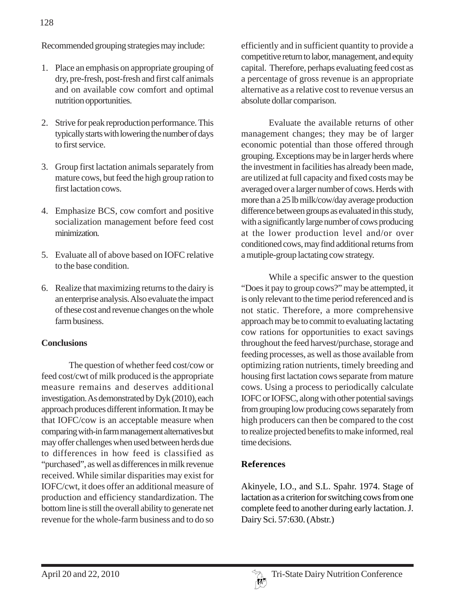Recommended grouping strategies may include:

- 1. Place an emphasis on appropriate grouping of dry, pre-fresh, post-fresh and first calf animals and on available cow comfort and optimal nutrition opportunities.
- 2. Strive for peak reproduction performance. This typically starts with lowering the number of days to first service.
- 3. Group first lactation animals separately from mature cows, but feed the high group ration to first lactation cows.
- 4. Emphasize BCS, cow comfort and positive socialization management before feed cost minimization.
- 5. Evaluate all of above based on IOFC relative to the base condition.
- 6. Realize that maximizing returns to the dairy is an enterprise analysis. Also evaluate the impact of these cost and revenue changes on the whole farm business.

## **Conclusions**

The question of whether feed cost/cow or feed cost/cwt of milk produced is the appropriate measure remains and deserves additional investigation. As demonstrated by Dyk (2010), each approach produces different information. It may be that IOFC/cow is an acceptable measure when comparing with-in farm management alternatives but may offer challenges when used between herds due to differences in how feed is classified as "purchased", as well as differences in milk revenue received. While similar disparities may exist for IOFC/cwt, it does offer an additional measure of production and efficiency standardization. The bottom line is still the overall ability to generate net revenue for the whole-farm business and to do so

efficiently and in sufficient quantity to provide a competitive return to labor, management, and equity capital. Therefore, perhaps evaluating feed cost as a percentage of gross revenue is an appropriate alternative as a relative cost to revenue versus an absolute dollar comparison.

Evaluate the available returns of other management changes; they may be of larger economic potential than those offered through grouping. Exceptions may be in larger herds where the investment in facilities has already been made, are utilized at full capacity and fixed costs may be averaged over a larger number of cows. Herds with more than a 25 lb milk/cow/day average production difference between groups as evaluated in this study, with a significantly large number of cows producing at the lower production level and/or over conditioned cows, may find additional returns from a mutiple-group lactating cow strategy.

While a specific answer to the question "Does it pay to group cows?" may be attempted, it is only relevant to the time period referenced and is not static. Therefore, a more comprehensive approach may be to commit to evaluating lactating cow rations for opportunities to exact savings throughout the feed harvest/purchase, storage and feeding processes, as well as those available from optimizing ration nutrients, timely breeding and housing first lactation cows separate from mature cows. Using a process to periodically calculate IOFC or IOFSC, along with other potential savings from grouping low producing cows separately from high producers can then be compared to the cost to realize projected benefits to make informed, real time decisions.

## **References**

Akinyele, I.O., and S.L. Spahr. 1974. Stage of lactation as a criterion for switching cows from one complete feed to another during early lactation. J. Dairy Sci. 57:630. (Abstr.)

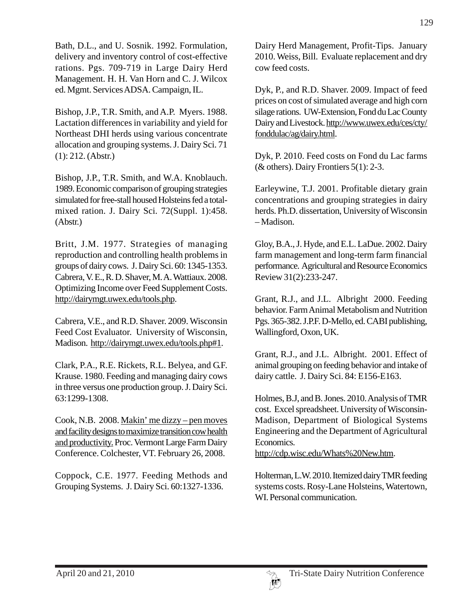Bath, D.L., and U. Sosnik. 1992. Formulation, delivery and inventory control of cost-effective rations. Pgs. 709-719 in Large Dairy Herd Management. H. H. Van Horn and C. J. Wilcox ed. Mgmt. Services ADSA. Campaign, IL.

Bishop, J.P., T.R. Smith, and A.P. Myers. 1988. Lactation differences in variability and yield for Northeast DHI herds using various concentrate allocation and grouping systems. J. Dairy Sci. 71 (1): 212. (Abstr.)

Bishop, J.P., T.R. Smith, and W.A. Knoblauch. 1989. Economic comparison of grouping strategies simulated for free-stall housed Holsteins fed a totalmixed ration. J. Dairy Sci. 72(Suppl. 1):458. (Abstr.)

Britt, J.M. 1977. Strategies of managing reproduction and controlling health problems in groups of dairy cows. J. Dairy Sci. 60: 1345-1353. Cabrera, V. E., R. D. Shaver, M. A. Wattiaux. 2008. Optimizing Income over Feed Supplement Costs. http://dairymgt.uwex.edu/tools.php.

Cabrera, V.E., and R.D. Shaver. 2009. Wisconsin Feed Cost Evaluator. University of Wisconsin, Madison. http://dairymgt.uwex.edu/tools.php#1.

Clark, P.A., R.E. Rickets, R.L. Belyea, and G.F. Krause. 1980. Feeding and managing dairy cows in three versus one production group. J. Dairy Sci. 63:1299-1308.

Cook, N.B. 2008. Makin' me dizzy – pen moves and facility designs to maximize transition cow health and productivity. Proc. Vermont Large Farm Dairy Conference. Colchester, VT. February 26, 2008.

Coppock, C.E. 1977. Feeding Methods and Grouping Systems. J. Dairy Sci. 60:1327-1336.

Dairy Herd Management, Profit-Tips. January 2010. Weiss, Bill. Evaluate replacement and dry cow feed costs.

Dyk, P., and R.D. Shaver. 2009. Impact of feed prices on cost of simulated average and high corn silage rations. UW-Extension, Fond du Lac County Dairy and Livestock. http://www.uwex.edu/ces/cty/ fonddulac/ag/dairy.html.

Dyk, P. 2010. Feed costs on Fond du Lac farms ( $&$  others). Dairy Frontiers 5(1): 2-3.

Earleywine, T.J. 2001. Profitable dietary grain concentrations and grouping strategies in dairy herds. Ph.D. dissertation, University of Wisconsin – Madison.

Gloy, B.A., J. Hyde, and E.L. LaDue. 2002. Dairy farm management and long-term farm financial performance. Agricultural and Resource Economics Review 31(2):233-247.

Grant, R.J., and J.L. Albright 2000. Feeding behavior. Farm Animal Metabolism and Nutrition Pgs. 365-382. J.P.F. D-Mello, ed. CABI publishing, Wallingford, Oxon, UK.

Grant, R.J., and J.L. Albright. 2001. Effect of animal grouping on feeding behavior and intake of dairy cattle. J. Dairy Sci. 84: E156-E163.

Holmes, B.J, and B. Jones. 2010. Analysis of TMR cost. Excel spreadsheet. University of Wisconsin-Madison, Department of Biological Systems Engineering and the Department of Agricultural Economics.

http://cdp.wisc.edu/Whats%20New.htm.

Holterman, L.W. 2010. Itemized dairy TMR feeding systems costs. Rosy-Lane Holsteins, Watertown, WI. Personal communication.

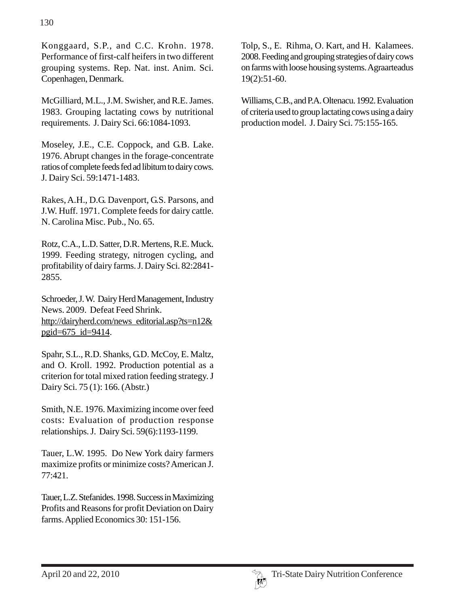Konggaard, S.P., and C.C. Krohn. 1978. Performance of first-calf heifers in two different grouping systems. Rep. Nat. inst. Anim. Sci. Copenhagen, Denmark.

McGilliard, M.L., J.M. Swisher, and R.E. James. 1983. Grouping lactating cows by nutritional requirements. J. Dairy Sci. 66:1084-1093.

Moseley, J.E., C.E. Coppock, and G.B. Lake. 1976. Abrupt changes in the forage-concentrate ratios of complete feeds fed ad libitum to dairy cows. J. Dairy Sci. 59:1471-1483.

Rakes, A.H., D.G. Davenport, G.S. Parsons, and J.W. Huff. 1971. Complete feeds for dairy cattle. N. Carolina Misc. Pub., No. 65.

Rotz, C.A., L.D. Satter, D.R. Mertens, R.E. Muck. 1999. Feeding strategy, nitrogen cycling, and profitability of dairy farms. J. Dairy Sci. 82:2841- 2855.

Schroeder, J. W. Dairy Herd Management, Industry News. 2009. Defeat Feed Shrink. http://dairyherd.com/news\_editorial.asp?ts=n12& pgid=675\_id=9414.

Spahr, S.L., R.D. Shanks, G.D. McCoy, E. Maltz, and O. Kroll. 1992. Production potential as a criterion for total mixed ration feeding strategy. J Dairy Sci. 75 (1): 166. (Abstr.)

Smith, N.E. 1976. Maximizing income over feed costs: Evaluation of production response relationships. J. Dairy Sci. 59(6):1193-1199.

Tauer, L.W. 1995. Do New York dairy farmers maximize profits or minimize costs? American J. 77:421.

Tauer, L.Z. Stefanides. 1998. Success in Maximizing Profits and Reasons for profit Deviation on Dairy farms. Applied Economics 30: 151-156.

Tolp, S., E. Rihma, O. Kart, and H. Kalamees. 2008. Feeding and grouping strategies of dairy cows on farms with loose housing systems. Agraarteadus 19(2):51-60.

Williams, C.B., and P.A. Oltenacu. 1992. Evaluation of criteria used to group lactating cows using a dairy production model. J. Dairy Sci. 75:155-165.

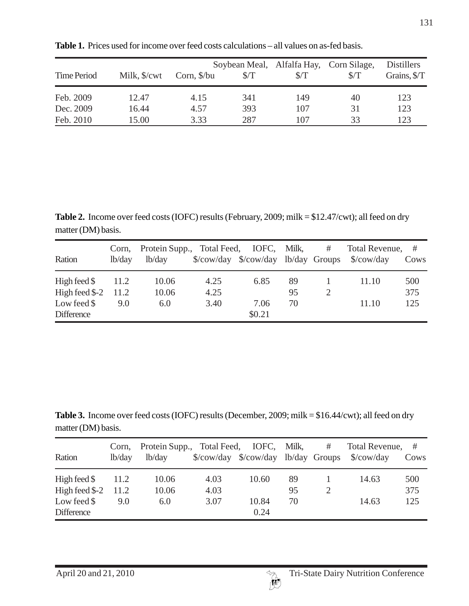| Time Period | Milk, \$/cwt | Corn, $\frac{\pi}{9}$ | $\sqrt{\text{T}}$ | Soybean Meal, Alfalfa Hay, Corn Silage,<br>$\sqrt{\text{T}}$ | S/T | <b>Distillers</b><br>Grains, \$/T |
|-------------|--------------|-----------------------|-------------------|--------------------------------------------------------------|-----|-----------------------------------|
| Feb. 2009   | 12.47        | 4.15                  | 341               | 149                                                          | 40  | 123                               |
| Dec. 2009   | 16.44        | 4.57                  | 393               | 107                                                          | 31  | 123                               |
| Feb. 2010   | 15.00        | 3.33                  | 287               | 107                                                          | 33  | 123                               |

**Table 1.** Prices used for income over feed costs calculations – all values on as-fed basis.

**Table 2.** Income over feed costs (IOFC) results (February, 2009; milk = \$12.47/cwt); all feed on dry matter (DM) basis.

| Ration                 | lb/day | Corn, Protein Supp., Total Feed, IOFC, Milk,<br>lb/day |      |        |    | # Total Revenue, #<br>\$/cow/day \$/cow/day lb/day Groups \$/cow/day | Cows |
|------------------------|--------|--------------------------------------------------------|------|--------|----|----------------------------------------------------------------------|------|
| High feed $\$\$        | 11.2   | 10.06                                                  | 4.25 | 6.85   | 89 | 11.10                                                                | 500  |
| High feed $\$$ -2 11.2 |        | 10.06                                                  | 4.25 |        | 95 |                                                                      | 375  |
| Low feed $\$           | 9.0    | 6.0                                                    | 3.40 | 7.06   | 70 | 11.10                                                                | 125  |
| <b>Difference</b>      |        |                                                        |      | \$0.21 |    |                                                                      |      |

**Table 3.** Income over feed costs (IOFC) results (December, 2009; milk = \$16.44/cwt); all feed on dry matter (DM) basis.

| Ration                 | lb/day | Corn, Protein Supp., Total Feed, IOFC, Milk,<br>lb/day |      |       |    | # | Total Revenue, #<br>\$/cow/day \$/cow/day lb/day Groups \$/cow/day | Cows |
|------------------------|--------|--------------------------------------------------------|------|-------|----|---|--------------------------------------------------------------------|------|
| High feed $\$          | 11.2   | 10.06                                                  | 4.03 | 10.60 | 89 |   | 14.63                                                              | 500  |
| High feed $\$$ -2 11.2 |        | 10.06                                                  | 4.03 |       | 95 |   |                                                                    | 375  |
| Low feed $\$$          | 9.0    | 6.0                                                    | 3.07 | 10.84 | 70 |   | 14.63                                                              | 125  |
| <b>Difference</b>      |        |                                                        |      | 0.24  |    |   |                                                                    |      |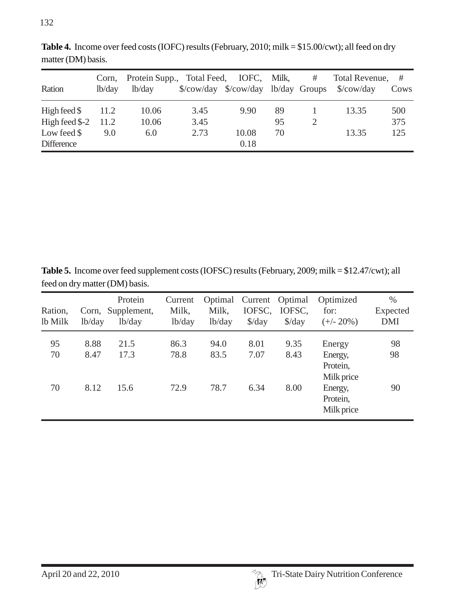| Ration                 | Corn,<br>lb/day | Protein Supp., Total Feed, IOFC, Milk,<br>lb/day |      |       |    | # | Total Revenue, #<br>\$/cow/day \$/cow/day lb/day Groups \$/cow/day | Cows |
|------------------------|-----------------|--------------------------------------------------|------|-------|----|---|--------------------------------------------------------------------|------|
| High feed $\$          | 11.2            | 10.06                                            | 3.45 | 9.90  | 89 |   | 13.35                                                              | 500  |
| High feed $\$$ -2 11.2 |                 | 10.06                                            | 3.45 |       | 95 |   |                                                                    | 375  |
| Low feed $\$           | 9.0             | 6.0                                              | 2.73 | 10.08 | 70 |   | 13.35                                                              | 125  |
| <b>Difference</b>      |                 |                                                  |      | 0.18  |    |   |                                                                    |      |

**Table 4.** Income over feed costs (IOFC) results (February, 2010; milk = \$15.00/cwt); all feed on dry matter (DM) basis.

**Table 5.** Income over feed supplement costs (IOFSC) results (February, 2009; milk = \$12.47/cwt); all feed on dry matter (DM) basis.

| Ration,<br>lb Milk | lb/day | Protein<br>Corn, Supplement,<br>lb/day | Current<br>Milk,<br>lb/day | Optimal<br>Milk,<br>lb/day | IOFSC,<br>$\frac{\text{d}}{\text{d}}$ | Current Optimal<br>IOFSC,<br>$\frac{\text{d}}{\text{d}}$ | Optimized<br>for:<br>$(+/- 20\%)$ | $\%$<br>Expected<br><b>DMI</b> |
|--------------------|--------|----------------------------------------|----------------------------|----------------------------|---------------------------------------|----------------------------------------------------------|-----------------------------------|--------------------------------|
| 95                 | 8.88   | 21.5                                   | 86.3                       | 94.0                       | 8.01                                  | 9.35                                                     | Energy                            | 98                             |
| 70                 | 8.47   | 17.3                                   | 78.8                       | 83.5                       | 7.07                                  | 8.43                                                     | Energy,<br>Protein,<br>Milk price | 98                             |
| 70                 | 8.12   | 15.6                                   | 72.9                       | 78.7                       | 6.34                                  | 8.00                                                     | Energy,<br>Protein,<br>Milk price | 90                             |